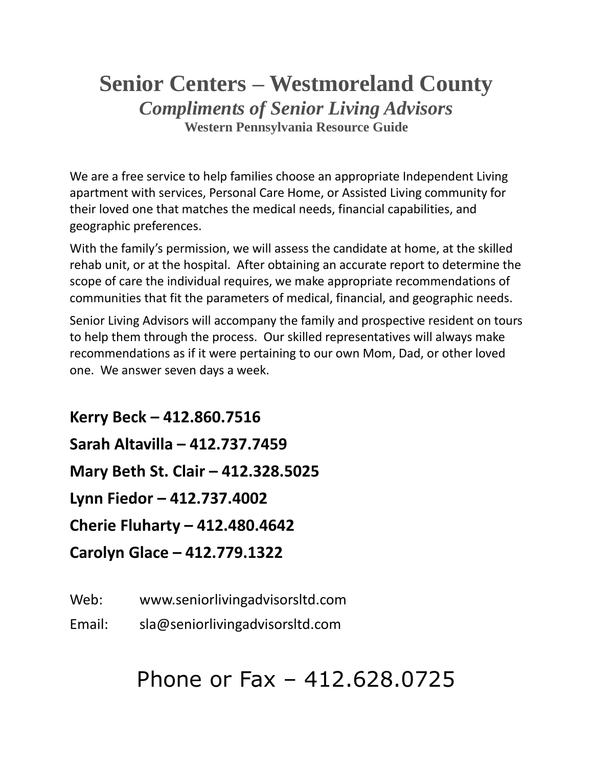## **Senior Centers – Westmoreland County** *Compliments of Senior Living Advisors* **Western Pennsylvania Resource Guide**

We are a free service to help families choose an appropriate Independent Living apartment with services, Personal Care Home, or Assisted Living community for their loved one that matches the medical needs, financial capabilities, and geographic preferences.

With the family's permission, we will assess the candidate at home, at the skilled rehab unit, or at the hospital. After obtaining an accurate report to determine the scope of care the individual requires, we make appropriate recommendations of communities that fit the parameters of medical, financial, and geographic needs.

Senior Living Advisors will accompany the family and prospective resident on tours to help them through the process. Our skilled representatives will always make recommendations as if it were pertaining to our own Mom, Dad, or other loved one. We answer seven days a week.

**Kerry Beck – 412.860.7516 Sarah Altavilla – 412.737.7459 Mary Beth St. Clair – 412.328.5025 Lynn Fiedor – 412.737.4002 Cherie Fluharty – 412.480.4642 Carolyn Glace – 412.779.1322**

Web: www.seniorlivingadvisorsltd.com

Email: sla@seniorlivingadvisorsltd.com

# Phone or Fax – 412.628.0725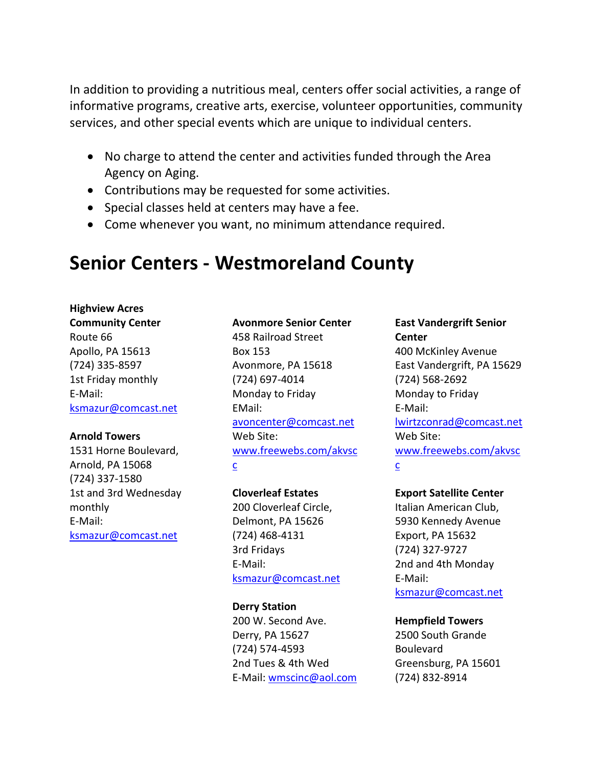In addition to providing a nutritious meal, centers offer social activities, a range of informative programs, creative arts, exercise, volunteer opportunities, community services, and other special events which are unique to individual centers.

- No charge to attend the center and activities funded through the Area Agency on Aging.
- Contributions may be requested for some activities.
- Special classes held at centers may have a fee.
- Come whenever you want, no minimum attendance required.

## **Senior Centers - Westmoreland County**

#### **Highview Acres**

**Community Center** Route 66 Apollo, PA 15613 (724) 335-8597 1st Friday monthly E-Mail: [ksmazur@comcast.net](mailto:ksmazur@comcast.net)

#### **Arnold Towers**

1531 Horne Boulevard, Arnold, PA 15068 (724) 337-1580 1st and 3rd Wednesday monthly E-Mail: [ksmazur@comcast.net](mailto:ksmazur@comcast.net)

## **Avonmore Senior Center**

458 Railroad Street Box 153 Avonmore, PA 15618 (724) 697-4014 Monday to Friday EMail: [avoncenter@comcast.net](mailto:avoncenter@comcast.net) Web Site: [www.freewebs.com/akvsc](http://www.freewebs.com/akvscc) [c](http://www.freewebs.com/akvscc)

## **Cloverleaf Estates**

200 Cloverleaf Circle, Delmont, PA 15626 (724) 468-4131 3rd Fridays E-Mail: [ksmazur@comcast.net](mailto:ksmazur@comcast.net)

#### **Derry Station**

200 W. Second Ave. Derry, PA 15627 (724) 574-4593 2nd Tues & 4th Wed E-Mail: [wmscinc@aol.com](mailto:wmscinc@aol.com)

## **East Vandergrift Senior Center**

400 McKinley Avenue East Vandergrift, PA 15629 (724) 568-2692 Monday to Friday E-Mail: [lwirtzconrad@comcast.net](mailto:lwirtzconrad@comcast.net) Web Site: [www.freewebs.com/akvsc](http://www.freewebs.com/akvscc) [c](http://www.freewebs.com/akvscc)

## **Export Satellite Center**

Italian American Club, 5930 Kennedy Avenue Export, PA 15632 (724) 327-9727 2nd and 4th Monday E-Mail: [ksmazur@comcast.net](mailto:ksmazur@comcast.net)

## **Hempfield Towers**

2500 South Grande Boulevard Greensburg, PA 15601 (724) 832-8914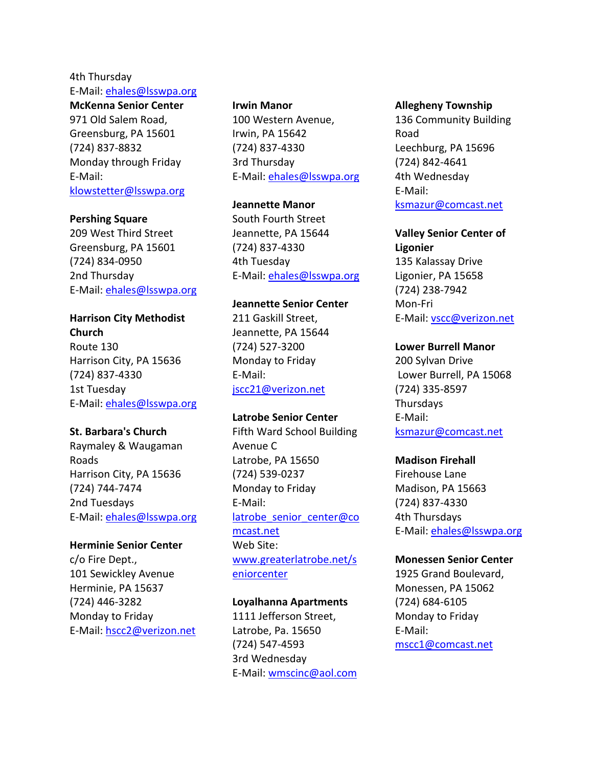#### 4th Thursday E-Mail: [ehales@lsswpa.org](mailto:ehales@lsswpa.org)

#### **McKenna Senior Center**

971 Old Salem Road, Greensburg, PA 15601 (724) 837-8832 Monday through Friday E-Mail: [klowstetter@lsswpa.org](mailto:klowstetter@lsswpa.org)

#### **Pershing Square**

209 West Third Street Greensburg, PA 15601 (724) 834-0950 2nd Thursday E-Mail: [ehales@lsswpa.org](mailto:ehales@lsswpa.org)

#### **Harrison City Methodist**

**Church** Route 130 Harrison City, PA 15636 (724) 837-4330 1st Tuesday E-Mail: [ehales@lsswpa.org](mailto:ehales@lsswpa.org)

#### **St. Barbara's Church**

Raymaley & Waugaman Roads Harrison City, PA 15636 (724) 744-7474 2nd Tuesdays E-Mail: [ehales@lsswpa.org](mailto:ehales@lsswpa.org)

#### **Herminie Senior Center**

c/o Fire Dept., 101 Sewickley Avenue Herminie, PA 15637 (724) 446-3282 Monday to Friday E-Mail: [hscc2@verizon.net](mailto:hscc2@verizon.net)

#### **Irwin Manor**

100 Western Avenue, Irwin, PA 15642 (724) 837-4330 3rd Thursday E-Mail: [ehales@lsswpa.org](mailto:ehales@lsswpa.org)

#### **Jeannette Manor**

South Fourth Street Jeannette, PA 15644 (724) 837-4330 4th Tuesday E-Mail: [ehales@lsswpa.org](mailto:ehales@lsswpa.org)

#### **Jeannette Senior Center**

211 Gaskill Street, Jeannette, PA 15644 (724) 527-3200 Monday to Friday E-Mail: [jscc21@verizon.net](mailto:jscc21@verizon.net)

#### **Latrobe Senior Center**

Fifth Ward School Building Avenue C Latrobe, PA 15650 (724) 539-0237 Monday to Friday E-Mail: latrobe senior center@co [mcast.net](mailto:latrobe_senior_center@comcast.net) Web Site: [www.greaterlatrobe.net/s](http://www.greaterlatrobe.net/seniorcenter) [eniorcenter](http://www.greaterlatrobe.net/seniorcenter)

#### **Loyalhanna Apartments**

1111 Jefferson Street, Latrobe, Pa. 15650 (724) 547-4593 3rd Wednesday E-Mail: [wmscinc@aol.com](mailto:wmscinc@aol.com)

#### **Allegheny Township**

136 Community Building Road Leechburg, PA 15696 (724) 842-4641 4th Wednesday E-Mail: [ksmazur@comcast.net](mailto:ksmazur@comcast.net)

### **Valley Senior Center of Ligonier**

135 Kalassay Drive Ligonier, PA 15658 (724) 238-7942 Mon-Fri E-Mail: [vscc@verizon.net](mailto:vscc@verizon.net)

#### **Lower Burrell Manor**

200 Sylvan Drive Lower Burrell, PA 15068 (724) 335-8597 Thursdays E-Mail: [ksmazur@comcast.net](mailto:ksmazur@comcast.net)

#### **Madison Firehall**

Firehouse Lane Madison, PA 15663 (724) 837-4330 4th Thursdays E-Mail: [ehales@lsswpa.org](mailto:ehales@lsswpa.org)

#### **Monessen Senior Center**

1925 Grand Boulevard, Monessen, PA 15062 (724) 684-6105 Monday to Friday E-Mail: [mscc1@comcast.net](mailto:mscc1@comcast.net)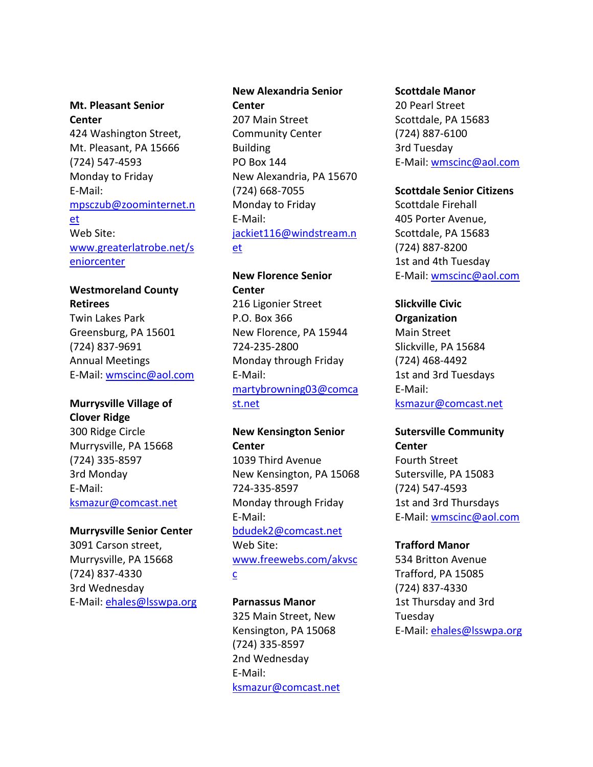## **Mt. Pleasant Senior Center** 424 Washington Street, Mt. Pleasant, PA 15666 (724) 547-4593 Monday to Friday E-Mail: [mpsczub@zoominternet.n](mailto:mpsczub@zoominternet.net) [et](mailto:mpsczub@zoominternet.net) Web Site: [www.greaterlatrobe.net/s](http://www.greaterlatrobe.net/seniorcenter) [eniorcenter](http://www.greaterlatrobe.net/seniorcenter)

## **Westmoreland County Retirees**

Twin Lakes Park Greensburg, PA 15601 (724) 837-9691 Annual Meetings E-Mail: [wmscinc@aol.com](mailto:wmscinc@aol.com)

### **Murrysville Village of Clover Ridge**

300 Ridge Circle Murrysville, PA 15668 (724) 335-8597 3rd Monday E-Mail: [ksmazur@comcast.net](mailto:ksmazur@comcast.net)

## **Murrysville Senior Center**

3091 Carson street, Murrysville, PA 15668 (724) 837-4330 3rd Wednesday E-Mail: [ehales@lsswpa.org](mailto:ehales@lsswpa.org)

## **New Alexandria Senior Center**

207 Main Street Community Center Building PO Box 144 New Alexandria, PA 15670 (724) 668-7055 Monday to Friday E-Mail: [jackiet116@windstream.n](mailto:jackiet116@windstream.net) [et](mailto:jackiet116@windstream.net)

## **New Florence Senior Center**

216 Ligonier Street P.O. Box 366 New Florence, PA 15944 724-235-2800 Monday through Friday E-Mail: [martybrowning03@comca](mailto:martybrowning03@comcast.net) [st.net](mailto:martybrowning03@comcast.net)

## **New Kensington Senior Center** 1039 Third Avenue New Kensington, PA 15068 724-335-8597 Monday through Friday E-Mail: [bdudek2@comcast.net](mailto:bdudek2@comcast.net) Web Site: [www.freewebs.com/akvsc](http://www.freewebs.com/akvscc)

[c](http://www.freewebs.com/akvscc)

## **Parnassus Manor**

325 Main Street, New Kensington, PA 15068 (724) 335-8597 2nd Wednesday E-Mail: [ksmazur@comcast.net](mailto:ksmazur@comcast.net)

#### **Scottdale Manor**

20 Pearl Street Scottdale, PA 15683 (724) 887-6100 3rd Tuesday E-Mail: [wmscinc@aol.com](mailto:wmscinc@aol.com)

#### **Scottdale Senior Citizens**

Scottdale Firehall 405 Porter Avenue, Scottdale, PA 15683 (724) 887-8200 1st and 4th Tuesday E-Mail: [wmscinc@aol.com](mailto:wmscinc@aol.com)

## **Slickville Civic**

**Organization** Main Street Slickville, PA 15684 (724) 468-4492 1st and 3rd Tuesdays E-Mail: [ksmazur@comcast.net](mailto:ksmazur@comcast.net)

## **Sutersville Community Center**

Fourth Street Sutersville, PA 15083 (724) 547-4593 1st and 3rd Thursdays E-Mail: [wmscinc@aol.com](mailto:wmscinc@aol.com)

#### **Trafford Manor**

534 Britton Avenue Trafford, PA 15085 (724) 837-4330 1st Thursday and 3rd Tuesday E-Mail: [ehales@lsswpa.org](mailto:ehales@lsswpa.org)